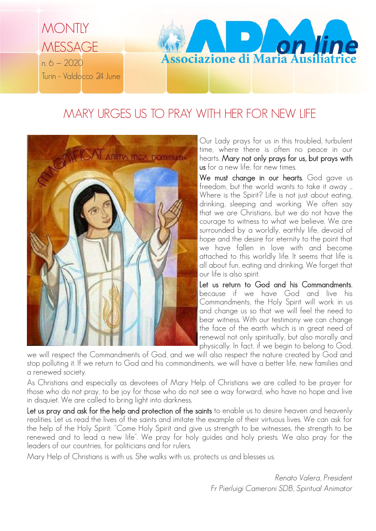

## MARY URGES US TO PRAY WITH HER FOR NEW LIFE



Our Lady prays for us in this troubled, turbulent time, where there is often no peace in our hearts. Mary not only prays for us, but prays with us for a new life, for new times.

We must change in our hearts. God gave us freedom, but the world wants to take it away ... Where is the Spirit? Life is not just about eating, drinking, sleeping and working. We often say that we are Christians, but we do not have the courage to witness to what we believe. We are surrounded by a worldly, earthly life, devoid of hope and the desire for eternity to the point that we have fallen in love with and become attached to this worldly life. It seems that life is all about fun, eating and drinking. We forget that our life is also spirit.

Let us return to God and his Commandments, because if we have God and live his Commandments, the Holy Spirit will work in us and change us so that we will feel the need to bear witness. With our testimony we can change the face of the earth which is in great need of renewal not only spiritually, but also morally and physically. In fact, if we begin to belong to God,

we will respect the Commandments of God, and we will also respect the nature created by God and stop polluting it. If we return to God and his commandments, we will have a better life, new families and a renewed society.

As Christians and especially as devotees of Mary Help of Christians we are called to be prayer for those who do not pray, to be joy for those who do not see a way forward, who have no hope and live in disquiet. We are called to bring light into darkness.

Let us pray and ask for the help and protection of the saints to enable us to desire heaven and heavenly realities. Let us read the lives of the saints and imitate the example of their virtuous lives. We can ask for the help of the Holy Spirit: "Come Holy Spirit and give us strength to be witnesses, the strength to be renewed and to lead a new life". We pray for holy guides and holy priests. We also pray for the leaders of our countries, for politicians and for rulers.

Mary Help of Christians is with us. She walks with us, protects us and blesses us.

*Renato Valera, President Fr Pierluigi Cameroni SDB, Spiritual Animator*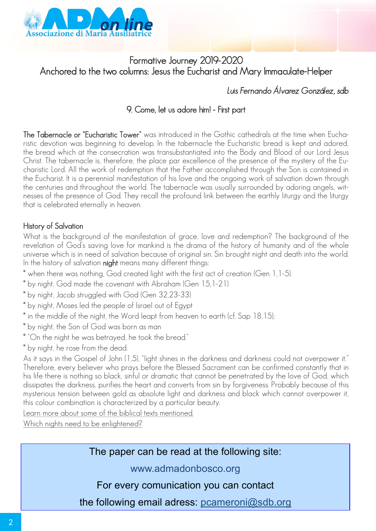

## Formative Journey 2019-2020 Anchored to the two columns: Jesus the Eucharist and Mary Immaculate-Helper

## *Luis Fernando Álvarez González, sdb*

### 9. Come, let us adore him! - First part

The Tabernacle or "Eucharistic Tower" was introduced in the Gothic cathedrals at the time when Eucharistic devotion was beginning to develop. In the tabernacle the Eucharistic bread is kept and adored, the bread which at the consecration was transubstantiated into the Body and Blood of our Lord Jesus Christ. The tabernacle is, therefore, the place par excellence of the presence of the mystery of the Eucharistic Lord. All the work of redemption that the Father accomplished through the Son is contained in the Eucharist. It is a perennial manifestation of his love and the ongoing work of salvation down through the centuries and throughout the world. The tabernacle was usually surrounded by adoring angels, witnesses of the presence of God. They recall the profound link between the earthly liturgy and the liturgy that is celebrated eternally in heaven.

#### History of Salvation

What is the background of the manifestation of grace, love and redemption? The background of the revelation of God's saving love for mankind is the drama of the history of humanity and of the whole universe which is in need of salvation because of original sin. Sin brought night and death into the world. In the history of salvation night means many different things:

- \* when there was nothing, God created light with the first act of creation (Gen 1,1-5).
- \* by night, God made the covenant with Abraham (Gen 15,1-21)
- \* by night, Jacob struggled with God (Gen 32,23-33)
- \* by night, Moses led the people of Israel out of Egypt
- \* in the middle of the night, the Word leapt from heaven to earth (cf. Sap 18,15);
- \* by night, the Son of God was born as man
- \* "On the night he was betrayed, he took the bread."
- \* by night, he rose from the dead.

As it says in the Gospel of John (1,5), "light shines in the darkness and darkness could not overpower it." Therefore, every believer who prays before the Blessed Sacrament can be confirmed constantly that in his life there is nothing so black, sinful or dramatic that cannot be penetrated by the love of God, which dissipates the darkness, purifies the heart and converts from sin by forgiveness. Probably because of this mysterious tension between gold as absolute light and darkness and black which cannot overpower it, this colour combination is characterized by a particular beauty.

Learn more about some of the biblical texts mentioned.

Which nights need to be enlightened?

The paper can be read at the following site:

www.admadonbosco.org

For every comunication you can contact

the following email adress: pcameroni@sdb.org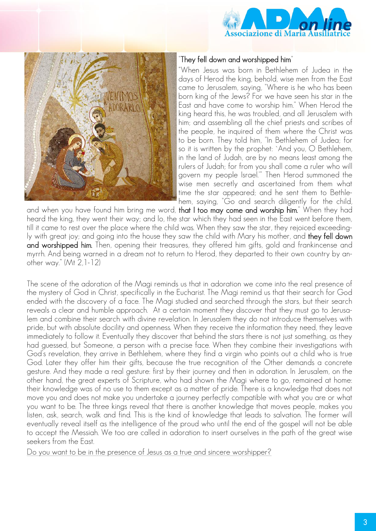



#### "They fell down and worshipped him"

"When Jesus was born in Bethlehem of Judea in the days of Herod the king, behold, wise men from the East came to Jerusalem, saying, "Where is he who has been born king of the Jews? For we have seen his star in the East and have come to worship him." When Herod the king heard this, he was troubled, and all Jerusalem with him; and assembling all the chief priests and scribes of the people, he inquired of them where the Christ was to be born. They told him, "In Bethlehem of Judea; for so it is written by the prophet: `And you, O Bethlehem, in the land of Judah, are by no means least among the rulers of Judah; for from you shall come a ruler who will govern my people Israel.'" Then Herod summoned the wise men secretly and ascertained from them what time the star appeared; and he sent them to Bethlehem, saying, "Go and search diligently for the child,

and when you have found him bring me word, that I too may come and worship him." When they had heard the king, they went their way; and lo, the star which they had seen in the East went before them, till it came to rest over the place where the child was. When they saw the star, they rejoiced exceedingly with great joy; and going into the house they saw the child with Mary his mother, and they fell down and worshipped him. Then, opening their treasures, they offered him gifts, gold and frankincense and myrrh. And being warned in a dream not to return to Herod, they departed to their own country by another way." (Mt 2,1-12)

The scene of the adoration of the Magi reminds us that in adoration we come into the real presence of the mystery of God in Christ, specifically in the Eucharist. The Magi remind us that their search for God ended with the discovery of a face. The Magi studied and searched through the stars, but their search reveals a clear and humble approach. At a certain moment they discover that they must go to Jerusalem and combine their search with divine revelation. In Jerusalem they do not introduce themselves with pride, but with absolute docility and openness. When they receive the information they need, they leave immediately to follow it. Eventually they discover that behind the stars there is not just something, as they had guessed, but Someone, a person with a precise face. When they combine their investigations with God's revelation, they arrive in Bethlehem, where they find a virgin who points out a child who is true God. Later they offer him their gifts, because the true recognition of the Other demands a concrete gesture. And they made a real gesture: first by their journey and then in adoration. In Jerusalem, on the other hand, the great experts of Scripture, who had shown the Magi where to go, remained at home: their knowledge was of no use to them except as a matter of pride. There is a knowledge that does not move you and does not make you undertake a journey perfectly compatible with what you are or what you want to be. The three kings reveal that there is another knowledge that moves people, makes you listen, ask, search, walk and find. This is the kind of knowledge that leads to salvation. The former will eventually reveal itself as the intelligence of the proud who until the end of the gospel will not be able to accept the Messiah. We too are called in adoration to insert ourselves in the path of the great wise seekers from the East.

Do you want to be in the presence of Jesus as a true and sincere worshipper?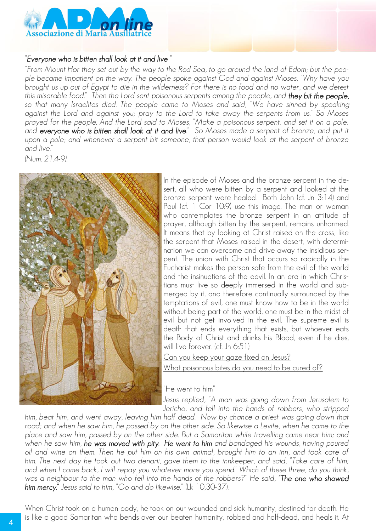

#### "*Everyone who is bitten shall look at it and live* "

*"From Mount Hor they set out by the way to the Red Sea, to go around the land of Edom; but the people became impatient on the way. The people spoke against God and against Moses, "Why have you brought us up out of Egypt to die in the wilderness? For there is no food and no water, and we detest this miserable food." Then the Lord sent poisonous serpents among the people, and they bit the people, so that many Israelites died. The people came to Moses and said, "We have sinned by speaking against the Lord and against you; pray to the Lord to take away the serpents from us." So Moses prayed for the people. And the Lord said to Moses, "Make a poisonous serpent, and set it on a pole; and everyone who is bitten shall look at it and live." So Moses made a serpent of bronze, and put it*  upon a pole; and whenever a serpent bit someone, that person would look at the serpent of bronze *and live."* 

*(Num. 21.4-9).*



In the episode of Moses and the bronze serpent in the desert, all who were bitten by a serpent and looked at the bronze serpent were healed. Both John (cf. Jn 3:14) and Paul (cf. 1 Cor 10:9) use this image. The man or woman who contemplates the bronze serpent in an attitude of prayer, although bitten by the serpent, remains unharmed. It means that by looking at Christ raised on the cross, like the serpent that Moses raised in the desert, with determination we can overcome and drive away the insidious serpent. The union with Christ that occurs so radically in the Eucharist makes the person safe from the evil of the world and the insinuations of the devil. In an era in which Christians must live so deeply immersed in the world and submerged by it, and therefore continually surrounded by the temptations of evil, one must know how to be in the world without being part of the world, one must be in the midst of evil but not get involved in the evil. The supreme evil is death that ends everything that exists, but whoever eats the Body of Christ and drinks his Blood, even if he dies, will live forever. (cf. Jn 6:51).

Can you keep your gaze fixed on Jesus? What poisonous bites do you need to be cured of?

"He went to him"

*Jesus replied, "A man was going down from Jerusalem to Jericho, and fell into the hands of robbers, who stripped* 

*him, beat him, and went away, leaving him half dead. Now by chance a priest was going down that road; and when he saw him, he passed by on the other side. So likewise a Levite, when he came to the place and saw him, passed by on the other side. But a Samaritan while travelling came near him; and*  when he saw him, **he was moved with pity. He went to him** and bandaged his wounds, having poured *oil and wine on them. Then he put him on his own animal, brought him to an inn, and took care of him. The next day he took out two denarii, gave them to the innkeeper, and said, "Take care of him; and when I come back, I will repay you whatever more you spend.' Which of these three, do you think, was a neighbour to the man who fell into the hands of the robbers?" He said, "The one who showed him mercy." Jesus said to him, "Go and do likewise."* (Lk 10,30-37).

When Christ took on a human body, he took on our wounded and sick humanity, destined for death. He is like a good Samaritan who bends over our beaten humanity, robbed and half-dead, and heals it. At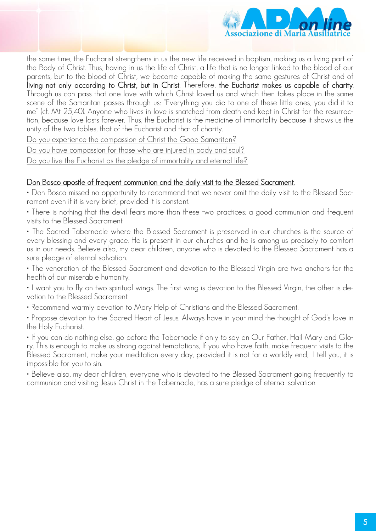

the same time, the Eucharist strengthens in us the new life received in baptism, making us a living part of the Body of Christ. Thus, having in us the life of Christ, a life that is no longer linked to the blood of our parents, but to the blood of Christ, we become capable of making the same gestures of Christ and of living not only according to Christ, but in Christ. Therefore, the Eucharist makes us capable of charity. Through us can pass that one love with which Christ loved us and which then takes place in the same scene of the Samaritan passes through us: "Everything you did to one of these little ones, you did it to me" (cf. Mt 25,40). Anyone who lives in love is snatched from death and kept in Christ for the resurrection, because love lasts forever. Thus, the Eucharist is the medicine of immortality because it shows us the unity of the two tables, that of the Eucharist and that of charity.

Do you experience the compassion of Christ the Good Samaritan?

Do you have compassion for those who are injured in body and soul?

Do you live the Eucharist as the pledge of immortality and eternal life?

#### Don Bosco apostle of frequent communion and the daily visit to the Blessed Sacrament.

• Don Bosco missed no opportunity to recommend that we never omit the daily visit to the Blessed Sacrament even if it is very brief, provided it is constant.

• There is nothing that the devil fears more than these two practices: a good communion and frequent visits to the Blessed Sacrament.

• The Sacred Tabernacle where the Blessed Sacrament is preserved in our churches is the source of every blessing and every grace. He is present in our churches and he is among us precisely to comfort us in our needs. Believe also, my dear children, anyone who is devoted to the Blessed Sacrament has a sure pledge of eternal salvation.

• The veneration of the Blessed Sacrament and devotion to the Blessed Virgin are two anchors for the health of our miserable humanity.

• I want you to fly on two spiritual wings. The first wing is devotion to the Blessed Virgin, the other is devotion to the Blessed Sacrament.

• Recommend warmly devotion to Mary Help of Christians and the Blessed Sacrament.

• Propose devotion to the Sacred Heart of Jesus. Always have in your mind the thought of God's love in the Holy Eucharist.

• If you can do nothing else, go before the Tabernacle if only to say an Our Father, Hail Mary and Glory. This is enough to make us strong against temptations, If you who have faith, make frequent visits to the Blessed Sacrament, make your meditation every day, provided it is not for a worldly end, I tell you, it is impossible for you to sin.

• Believe also, my dear children, everyone who is devoted to the Blessed Sacrament going frequently to communion and visiting Jesus Christ in the Tabernacle, has a sure pledge of eternal salvation.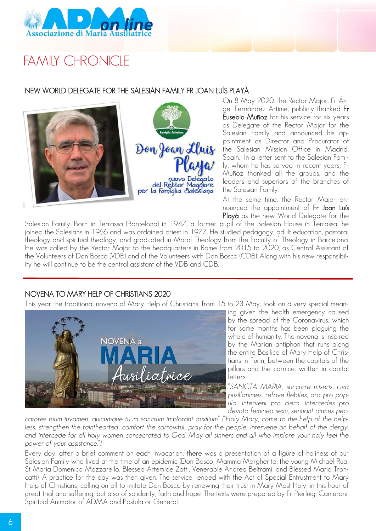

# FAMILY CHRONICLE

#### NEW WORLD DELEGATE FOR THE SALESIAN FAMILY FR JOAN LUÍS PLAYÀ



On 8 May 2020, the Rector Major, Fr Ángel Fernández Artime, publicly thanked Fr Eusebio Muñoz for his service for six years as Delegate of the Rector Major for the Salesian Family and announced his appointment as Director and Procurator of the Salesian Mission Office in Madrid, Spain. In a letter sent to the Salesian Family, whom he has served in recent years, Fr Muñoz thanked all the groups, and the leaders and superiors of the branches of the Salesian Family.

At the same time, the Rector Major announced the appointment of Fr Joan Luís Playà as the new World Delegate for the

Salesian Family. Born in Terrassa (Barcelona) in 1947, a former pupil of the Salesian House in Terrassa, he joined the Salesians in 1966 and was ordained priest in 1977. He studied pedagogy, adult education, pastoral theology and spiritual theology, and graduated in Moral Theology from the Faculty of Theology in Barcelona. He was called by the Rector Major to the headquarters in Rome from 2015 to 2020, as Central Assistant of the Volunteers of Don Bosco (VDB) and of the Volunteers with Don Bosco (CDB). Along with his new responsibility he will continue to be the central assistant of the VDB and CDB.

#### NOVENA TO MARY HELP OF CHRISTIANS 2020

This year the traditional novena of Mary Help of Christians, from 15 to 23 May, took on a very special mean-



ing given the health emergency caused by the spread of the Coronavirus, which for some months has been plaguing the whole of humanity. The novena is inspired by the Marian antiphon that runs along the entire Basilica of Mary Help of Christians in Turin, between the capitals of the pillars and the cornice, written in capital letters.

*"SANCTA MARIA, succurre miseris, iuva pusillanimes, refove flebiles, ora pro populo, interveni pro clero, intercedes pro devoto femineo sexu, sentiant omnes pec-*

*catores tuum iuvamen, quicumque tuum sanctum implorant auxilium" ("Holy Mary, come to the help of the help*less, strengthen the fainthearted, comfort the sorrowful, pray for the people, intervene on behalf of the clergy, *and intercede for all holy women consecrated to God. May all sinners and all who implore your holy feel the power of your assistance.")*

Every day, after a brief comment on each invocation, there was a presentation of a figure of holiness of our Salesian Family who lived at the time of an epidemic (Don Bosco, Mamma Margherita, the young Michael Rua, St Maria Domenica Mazzarello, Blessed Artemide Zatti, Venerable Andrea Beltrami, and Blessed Maria Troncatti). A practice for the day was then given. The service ended with the Act of Special Entrustment to Mary Help of Christians, calling on all to imitate Don Bosco by renewing their trust in Mary Most Holy, in this hour of great trial and suffering, but also of solidarity, faith and hope. The texts were prepared by Fr Pierluigi Cameroni, Spiritual Animator of ADMA and Postulator General.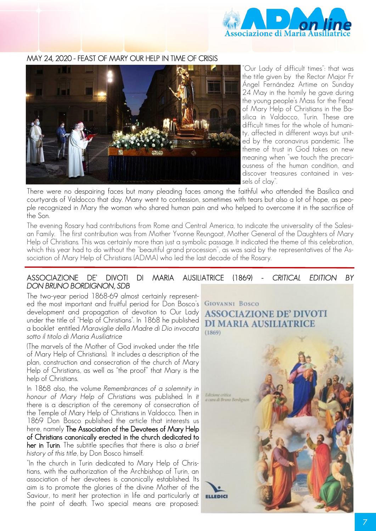

#### MAY 24, 2020 - FEAST OF MARY OUR HELP IN TIME OF CRISIS



"Our Lady of difficult times": that was the title given by the Rector Major Fr Ángel Fernández Artime on Sunday 24 May in the homily he gave during the young people's Mass for the Feast of Mary Help of Christians in the Basilica in Valdocco, Turin. These are difficult times for the whole of humanity, affected in different ways but united by the coronavirus pandemic. The theme of trust in God takes on new meaning when "we touch the precariousness of the human condition, and discover treasures contained in vessels of clay".

There were no despairing faces but many pleading faces among the faithful who attended the Basilica and courtyards of Valdocco that day. Many went to confession, sometimes with tears but also a lot of hope, as people recognized in Mary the woman who shared human pain and who helped to overcome it in the sacrifice of the Son.

The evening Rosary had contributions from Rome and Central America, to indicate the universality of the Salesian Family. The first contribution was from Mother Yvonne Reungoat, Mother General of the Daughters of Mary Help of Christians. This was certainly more than just a symbolic passage. It indicated the theme of this celebration, which this year had to do without the "beautiful grand procession", as was said by the representatives of the Association of Mary Help of Christians (ADMA) who led the last decade of the Rosary.

#### ASSOCIAZIONE DE' DIVOTI DI MARIA AUSILIATRICE (1869) - *CRITICAL EDITION BY DON BRUNO BORDIGNON, SDB*

The two-year period 1868-69 almost certainly represented the most important and fruitful period for Don Bosco's development and propagation of devotion to Our Lady under the title of "Help of Christians". In 1868 he published a booklet entitled *Maraviglie della Madre di Dio invocata sotto il titolo di Maria Ausiliatrice*

(The marvels of the Mother of God invoked under the title of Mary Help of Christians). It includes a description of the plan, construction and consecration of the church of Mary Help of Christians, as well as "the proof" that Mary is the help of Christians.

In 1868 also, the volume *Remembrances of a solemnity in honour of Mary Help of Christians* was published. In it there is a description of the ceremony of consecration of the Temple of Mary Help of Christians in Valdocco. Then in 1869 Don Bosco published the article that interests us here, namely The Association of the Devotees of Mary Help of Christians canonically erected in the church dedicated to her in Turin. The subtitle specifies that there is also *a brief history of this title*, by Don Bosco himself.

"In the church in Turin dedicated to Mary Help of Christians, with the authorization of the Archbishop of Turin, an association of her devotees is canonically established. Its aim is to promote the glories of the divine Mother of the Saviour, to merit her protection in life and particularly at the point of death. Two special means are proposed: